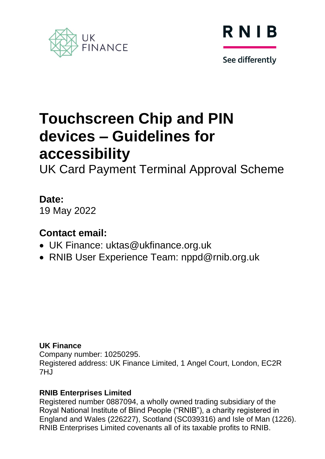



See differently

# **Touchscreen Chip and PIN devices – Guidelines for accessibility**

UK Card Payment Terminal Approval Scheme

### **Date:**

19 May 2022

### **Contact email:**

- UK Finance: uktas@ukfinance.org.uk
- RNIB User Experience Team: nppd@rnib.org.uk

#### **UK Finance**

Company number: 10250295. Registered address: UK Finance Limited, 1 Angel Court, London, EC2R  $7H<sub>J</sub>$ 

#### **RNIB Enterprises Limited**

Registered number 0887094, a wholly owned trading subsidiary of the Royal National Institute of Blind People ("RNIB"), a charity registered in England and Wales (226227), Scotland (SC039316) and Isle of Man (1226). RNIB Enterprises Limited covenants all of its taxable profits to RNIB.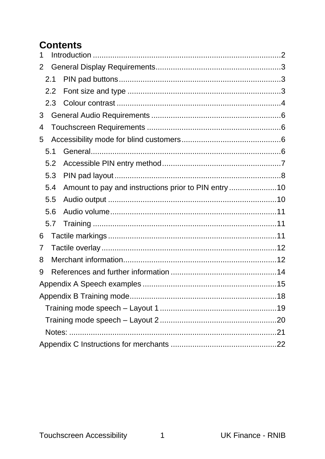### **Contents**

| 1   |                                                      |  |
|-----|------------------------------------------------------|--|
| 2   |                                                      |  |
| 2.1 |                                                      |  |
| 2.2 |                                                      |  |
| 2.3 |                                                      |  |
| 3   |                                                      |  |
| 4   |                                                      |  |
| 5   |                                                      |  |
| 5.1 |                                                      |  |
| 5.2 |                                                      |  |
| 5.3 |                                                      |  |
| 5.4 | Amount to pay and instructions prior to PIN entry 10 |  |
| 5.5 |                                                      |  |
| 5.6 |                                                      |  |
| 5.7 |                                                      |  |
| 6   |                                                      |  |
| 7   |                                                      |  |
| 8   |                                                      |  |
| 9   |                                                      |  |
|     |                                                      |  |
|     |                                                      |  |
|     |                                                      |  |
|     |                                                      |  |
|     |                                                      |  |
|     |                                                      |  |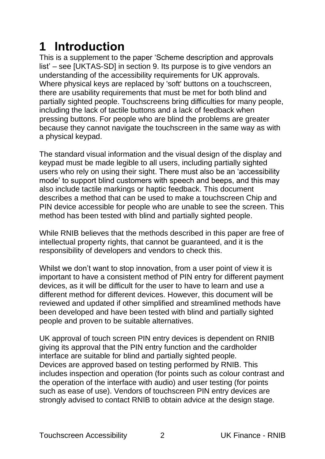# <span id="page-2-0"></span>**1 Introduction**

This is a supplement to the paper 'Scheme description and approvals list' – see [UKTAS-SD] in section 9. Its purpose is to give vendors an understanding of the accessibility requirements for UK approvals. Where physical keys are replaced by 'soft' buttons on a touchscreen, there are usability requirements that must be met for both blind and partially sighted people. Touchscreens bring difficulties for many people, including the lack of tactile buttons and a lack of feedback when pressing buttons. For people who are blind the problems are greater because they cannot navigate the touchscreen in the same way as with a physical keypad.

The standard visual information and the visual design of the display and keypad must be made legible to all users, including partially sighted users who rely on using their sight. There must also be an 'accessibility mode' to support blind customers with speech and beeps, and this may also include tactile markings or haptic feedback. This document describes a method that can be used to make a touchscreen Chip and PIN device accessible for people who are unable to see the screen. This method has been tested with blind and partially sighted people.

While RNIB believes that the methods described in this paper are free of intellectual property rights, that cannot be guaranteed, and it is the responsibility of developers and vendors to check this.

Whilst we don't want to stop innovation, from a user point of view it is important to have a consistent method of PIN entry for different payment devices, as it will be difficult for the user to have to learn and use a different method for different devices. However, this document will be reviewed and updated if other simplified and streamlined methods have been developed and have been tested with blind and partially sighted people and proven to be suitable alternatives.

UK approval of touch screen PIN entry devices is dependent on RNIB giving its approval that the PIN entry function and the cardholder interface are suitable for blind and partially sighted people. Devices are approved based on testing performed by RNIB. This includes inspection and operation (for points such as colour contrast and the operation of the interface with audio) and user testing (for points such as ease of use). Vendors of touchscreen PIN entry devices are strongly advised to contact RNIB to obtain advice at the design stage.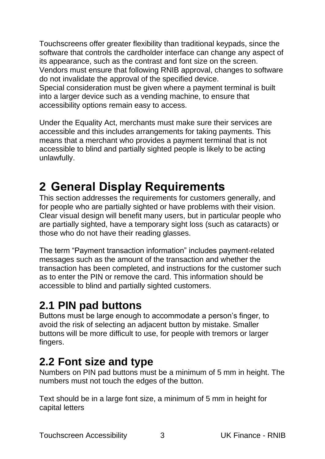Touchscreens offer greater flexibility than traditional keypads, since the software that controls the cardholder interface can change any aspect of its appearance, such as the contrast and font size on the screen. Vendors must ensure that following RNIB approval, changes to software do not invalidate the approval of the specified device. Special consideration must be given where a payment terminal is built into a larger device such as a vending machine, to ensure that accessibility options remain easy to access.

Under the Equality Act, merchants must make sure their services are accessible and this includes arrangements for taking payments. This means that a merchant who provides a payment terminal that is not accessible to blind and partially sighted people is likely to be acting unlawfully.

## <span id="page-3-0"></span>**2 General Display Requirements**

This section addresses the requirements for customers generally, and for people who are partially sighted or have problems with their vision. Clear visual design will benefit many users, but in particular people who are partially sighted, have a temporary sight loss (such as cataracts) or those who do not have their reading glasses.

The term "Payment transaction information" includes payment-related messages such as the amount of the transaction and whether the transaction has been completed, and instructions for the customer such as to enter the PIN or remove the card. This information should be accessible to blind and partially sighted customers.

### <span id="page-3-1"></span>**2.1 PIN pad buttons**

Buttons must be large enough to accommodate a person's finger, to avoid the risk of selecting an adjacent button by mistake. Smaller buttons will be more difficult to use, for people with tremors or larger fingers.

### <span id="page-3-2"></span>**2.2 Font size and type**

Numbers on PIN pad buttons must be a minimum of 5 mm in height. The numbers must not touch the edges of the button.

Text should be in a large font size, a minimum of 5 mm in height for capital letters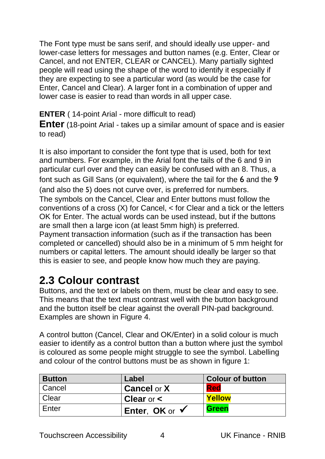The Font type must be sans serif, and should ideally use upper- and lower-case letters for messages and button names (e.g. Enter, Clear or Cancel, and not ENTER, CLEAR or CANCEL). Many partially sighted people will read using the shape of the word to identify it especially if they are expecting to see a particular word (as would be the case for Enter, Cancel and Clear). A larger font in a combination of upper and lower case is easier to read than words in all upper case.

**ENTER** ( 14-point Arial - more difficult to read)

**Enter** (18-point Arial - takes up a similar amount of space and is easier to read)

It is also important to consider the font type that is used, both for text and numbers. For example, in the Arial font the tails of the 6 and 9 in particular curl over and they can easily be confused with an 8. Thus, a font such as Gill Sans (or equivalent), where the tail for the 6 and the 9 (and also the 5) does not curve over, is preferred for numbers. The symbols on the Cancel, Clear and Enter buttons must follow the conventions of a cross (X) for Cancel, < for Clear and a tick or the letters OK for Enter. The actual words can be used instead, but if the buttons are small then a large icon (at least 5mm high) is preferred. Payment transaction information (such as if the transaction has been

completed or cancelled) should also be in a minimum of 5 mm height for numbers or capital letters. The amount should ideally be larger so that this is easier to see, and people know how much they are paying.

### <span id="page-4-0"></span>**2.3 Colour contrast**

Buttons, and the text or labels on them, must be clear and easy to see. This means that the text must contrast well with the button background and the button itself be clear against the overall PIN-pad background. Examples are shown in Figure 4.

A control button (Cancel, Clear and OK/Enter) in a solid colour is much easier to identify as a control button than a button where just the symbol is coloured as some people might struggle to see the symbol. Labelling and colour of the control buttons must be as shown in figure 1:

| <b>Button</b> | Label                 | <b>Colour of button</b> |
|---------------|-----------------------|-------------------------|
| Cancel        | <b>Cancel or X</b>    | Red                     |
| Clear         | <b>Clear</b> or $\lt$ | <b>Yellow</b>           |
| Enter         | Enter, OK or √        | <b>Green</b>            |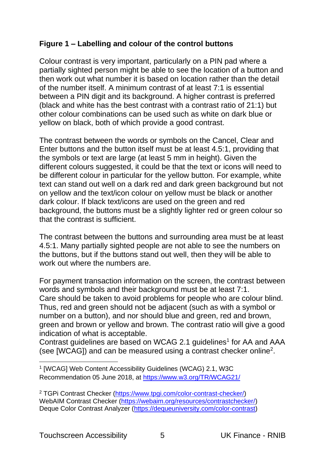#### **Figure 1 – Labelling and colour of the control buttons**

Colour contrast is very important, particularly on a PIN pad where a partially sighted person might be able to see the location of a button and then work out what number it is based on location rather than the detail of the number itself. A minimum contrast of at least 7:1 is essential between a PIN digit and its background. A higher contrast is preferred (black and white has the best contrast with a contrast ratio of 21:1) but other colour combinations can be used such as white on dark blue or yellow on black, both of which provide a good contrast.

The contrast between the words or symbols on the Cancel, Clear and Enter buttons and the button itself must be at least 4.5:1, providing that the symbols or text are large (at least 5 mm in height). Given the different colours suggested, it could be that the text or icons will need to be different colour in particular for the yellow button. For example, white text can stand out well on a dark red and dark green background but not on yellow and the text/icon colour on yellow must be black or another dark colour. If black text/icons are used on the green and red background, the buttons must be a slightly lighter red or green colour so that the contrast is sufficient.

The contrast between the buttons and surrounding area must be at least 4.5:1. Many partially sighted people are not able to see the numbers on the buttons, but if the buttons stand out well, then they will be able to work out where the numbers are.

For payment transaction information on the screen, the contrast between words and symbols and their background must be at least 7:1. Care should be taken to avoid problems for people who are colour blind. Thus, red and green should not be adjacent (such as with a symbol or number on a button), and nor should blue and green, red and brown, green and brown or yellow and brown. The contrast ratio will give a good indication of what is acceptable.

Contrast guidelines are based on WCAG 2.1 guidelines<sup>1</sup> for AA and AAA (see [WCAG]) and can be measured using a contrast checker online<sup>2</sup>.

<sup>1</sup> [WCAG] Web Content Accessibility Guidelines (WCAG) 2.1, W3C Recommendation 05 June 2018, at<https://www.w3.org/TR/WCAG21/>

<sup>2</sup> TGPi Contrast Checker [\(https://www.tpgi.com/color-contrast-checker/\)](https://protect-eu.mimecast.com/s/K9sdCRPM0sr3KxyT9Nyiq?domain=tpgi.com/) WebAIM Contrast Checker [\(https://webaim.org/resources/contrastchecker/\)](https://protect-eu.mimecast.com/s/CeevCV75kclp4YzTza3Y4?domain=webaim.org/) Deque Color Contrast Analyzer [\(https://dequeuniversity.com/color-contrast\)](https://protect-eu.mimecast.com/s/nef9CWQwlhjnpVNSKDegz?domain=dequeuniversity.com)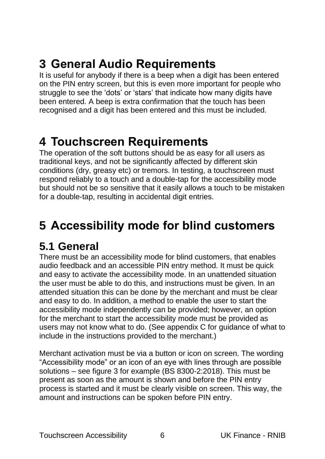# <span id="page-6-0"></span>**3 General Audio Requirements**

It is useful for anybody if there is a beep when a digit has been entered on the PIN entry screen, but this is even more important for people who struggle to see the 'dots' or 'stars' that indicate how many digits have been entered. A beep is extra confirmation that the touch has been recognised and a digit has been entered and this must be included.

## <span id="page-6-1"></span>**4 Touchscreen Requirements**

The operation of the soft buttons should be as easy for all users as traditional keys, and not be significantly affected by different skin conditions (dry, greasy etc) or tremors. In testing, a touchscreen must respond reliably to a touch and a double-tap for the accessibility mode but should not be so sensitive that it easily allows a touch to be mistaken for a double-tap, resulting in accidental digit entries.

## <span id="page-6-2"></span>**5 Accessibility mode for blind customers**

### <span id="page-6-3"></span>**5.1 General**

There must be an accessibility mode for blind customers, that enables audio feedback and an accessible PIN entry method. It must be quick and easy to activate the accessibility mode. In an unattended situation the user must be able to do this, and instructions must be given. In an attended situation this can be done by the merchant and must be clear and easy to do. In addition, a method to enable the user to start the accessibility mode independently can be provided; however, an option for the merchant to start the accessibility mode must be provided as users may not know what to do. (See appendix C for guidance of what to include in the instructions provided to the merchant.)

Merchant activation must be via a button or icon on screen. The wording "Accessibility mode" or an icon of an eye with lines through are possible solutions – see figure 3 for example (BS 8300-2:2018). This must be present as soon as the amount is shown and before the PIN entry process is started and it must be clearly visible on screen. This way, the amount and instructions can be spoken before PIN entry.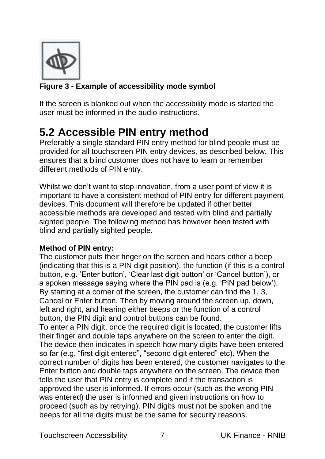

#### **Figure 3 - Example of accessibility mode symbol**

If the screen is blanked out when the accessibility mode is started the user must be informed in the audio instructions.

### <span id="page-7-0"></span>**5.2 Accessible PIN entry method**

Preferably a single standard PIN entry method for blind people must be provided for all touchscreen PIN entry devices, as described below. This ensures that a blind customer does not have to learn or remember different methods of PIN entry.

Whilst we don't want to stop innovation, from a user point of view it is important to have a consistent method of PIN entry for different payment devices. This document will therefore be updated if other better accessible methods are developed and tested with blind and partially sighted people. The following method has however been tested with blind and partially sighted people.

#### **Method of PIN entry:**

The customer puts their finger on the screen and hears either a beep (indicating that this is a PIN digit position), the function (if this is a control button, e.g. 'Enter button', 'Clear last digit button' or 'Cancel button'), or a spoken message saying where the PIN pad is (e.g. 'PIN pad below'). By starting at a corner of the screen, the customer can find the 1, 3, Cancel or Enter button. Then by moving around the screen up, down, left and right, and hearing either beeps or the function of a control button, the PIN digit and control buttons can be found.

To enter a PIN digit, once the required digit is located, the customer lifts their finger and double taps anywhere on the screen to enter the digit. The device then indicates in speech how many digits have been entered so far (e.g. "first digit entered", "second digit entered" etc). When the correct number of digits has been entered, the customer navigates to the Enter button and double taps anywhere on the screen. The device then tells the user that PIN entry is complete and if the transaction is approved the user is informed. If errors occur (such as the wrong PIN was entered) the user is informed and given instructions on how to proceed (such as by retrying). PIN digits must not be spoken and the beeps for all the digits must be the same for security reasons.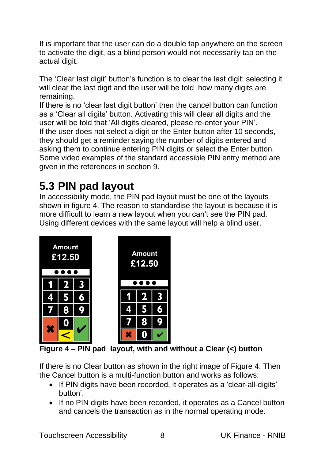It is important that the user can do a double tap anywhere on the screen to activate the digit, as a blind person would not necessarily tap on the actual digit.

The 'Clear last digit' button's function is to clear the last digit: selecting it will clear the last digit and the user will be told how many digits are remaining.

If there is no 'clear last digit button' then the cancel button can function as a 'Clear all digits' button. Activating this will clear all digits and the user will be told that 'All digits cleared, please re-enter your PIN'. If the user does not select a digit or the Enter button after 10 seconds, they should get a reminder saying the number of digits entered and asking them to continue entering PIN digits or select the Enter button. Some video examples of the standard accessible PIN entry method are given in the references in section 9.

### <span id="page-8-0"></span>**5.3 PIN pad layout**

In accessibility mode, the PIN pad layout must be one of the layouts shown in figure 4. The reason to standardise the layout is because it is more difficult to learn a new layout when you can't see the PIN pad. Using different devices with the same layout will help a blind user.



**Figure 4 – PIN pad layout, with and without a Clear (<) button**

If there is no Clear button as shown in the right image of Figure 4. Then the Cancel button is a multi-function button and works as follows:

- If PIN digits have been recorded, it operates as a 'clear-all-digits' button'.
- If no PIN digits have been recorded, it operates as a Cancel button and cancels the transaction as in the normal operating mode.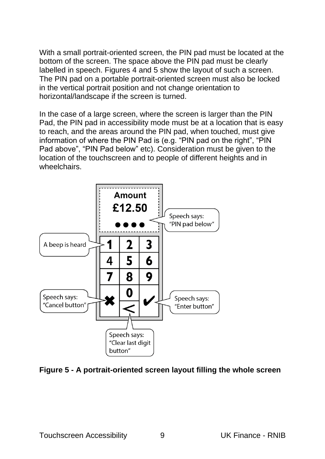With a small portrait-oriented screen, the PIN pad must be located at the bottom of the screen. The space above the PIN pad must be clearly labelled in speech. Figures 4 and 5 show the layout of such a screen. The PIN pad on a portable portrait-oriented screen must also be locked in the vertical portrait position and not change orientation to horizontal/landscape if the screen is turned.

In the case of a large screen, where the screen is larger than the PIN Pad, the PIN pad in accessibility mode must be at a location that is easy to reach, and the areas around the PIN pad, when touched, must give information of where the PIN Pad is (e.g. "PIN pad on the right", "PIN Pad above", "PIN Pad below" etc). Consideration must be given to the location of the touchscreen and to people of different heights and in wheelchairs.



**Figure 5 - A portrait-oriented screen layout filling the whole screen**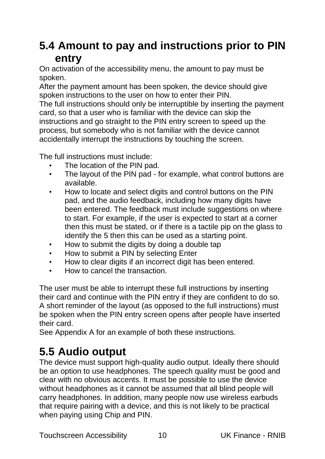### <span id="page-10-0"></span>**5.4 Amount to pay and instructions prior to PIN entry**

On activation of the accessibility menu, the amount to pay must be spoken.

After the payment amount has been spoken, the device should give spoken instructions to the user on how to enter their PIN.

The full instructions should only be interruptible by inserting the payment card, so that a user who is familiar with the device can skip the instructions and go straight to the PIN entry screen to speed up the process, but somebody who is not familiar with the device cannot accidentally interrupt the instructions by touching the screen.

The full instructions must include:

- The location of the PIN pad.
- The layout of the PIN pad for example, what control buttons are available.
- How to locate and select digits and control buttons on the PIN pad, and the audio feedback, including how many digits have been entered. The feedback must include suggestions on where to start. For example, if the user is expected to start at a corner then this must be stated, or if there is a tactile pip on the glass to identify the 5 then this can be used as a starting point.
- How to submit the digits by doing a double tap
- How to submit a PIN by selecting Enter
- How to clear digits if an incorrect digit has been entered.
- How to cancel the transaction.

The user must be able to interrupt these full instructions by inserting their card and continue with the PIN entry if they are confident to do so. A short reminder of the layout (as opposed to the full instructions) must be spoken when the PIN entry screen opens after people have inserted their card.

See Appendix A for an example of both these instructions.

### <span id="page-10-1"></span>**5.5 Audio output**

The device must support high-quality audio output. Ideally there should be an option to use headphones. The speech quality must be good and clear with no obvious accents. It must be possible to use the device without headphones as it cannot be assumed that all blind people will carry headphones. In addition, many people now use wireless earbuds that require pairing with a device, and this is not likely to be practical when paying using Chip and PIN.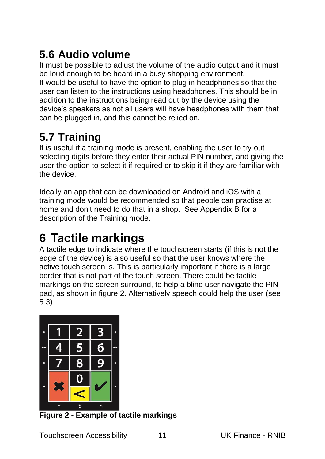## <span id="page-11-0"></span>**5.6 Audio volume**

It must be possible to adjust the volume of the audio output and it must be loud enough to be heard in a busy shopping environment. It would be useful to have the option to plug in headphones so that the user can listen to the instructions using headphones. This should be in addition to the instructions being read out by the device using the device's speakers as not all users will have headphones with them that can be plugged in, and this cannot be relied on.

### <span id="page-11-1"></span>**5.7 Training**

It is useful if a training mode is present, enabling the user to try out selecting digits before they enter their actual PIN number, and giving the user the option to select it if required or to skip it if they are familiar with the device.

Ideally an app that can be downloaded on Android and iOS with a training mode would be recommended so that people can practise at home and don't need to do that in a shop. See Appendix B for a description of the Training mode.

# <span id="page-11-2"></span>**6 Tactile markings**

A tactile edge to indicate where the touchscreen starts (if this is not the edge of the device) is also useful so that the user knows where the active touch screen is. This is particularly important if there is a large border that is not part of the touch screen. There could be tactile markings on the screen surround, to help a blind user navigate the PIN pad, as shown in figure 2. Alternatively speech could help the user (see 5.3)



**Figure 2 - Example of tactile markings**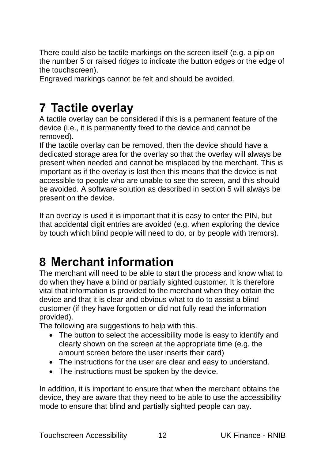There could also be tactile markings on the screen itself (e.g. a pip on the number 5 or raised ridges to indicate the button edges or the edge of the touchscreen).

Engraved markings cannot be felt and should be avoided.

## <span id="page-12-0"></span>**7 Tactile overlay**

A tactile overlay can be considered if this is a permanent feature of the device (i.e., it is permanently fixed to the device and cannot be removed).

If the tactile overlay can be removed, then the device should have a dedicated storage area for the overlay so that the overlay will always be present when needed and cannot be misplaced by the merchant. This is important as if the overlay is lost then this means that the device is not accessible to people who are unable to see the screen, and this should be avoided. A software solution as described in section 5 will always be present on the device.

If an overlay is used it is important that it is easy to enter the PIN, but that accidental digit entries are avoided (e.g. when exploring the device by touch which blind people will need to do, or by people with tremors).

## <span id="page-12-1"></span>**8 Merchant information**

The merchant will need to be able to start the process and know what to do when they have a blind or partially sighted customer. It is therefore vital that information is provided to the merchant when they obtain the device and that it is clear and obvious what to do to assist a blind customer (if they have forgotten or did not fully read the information provided).

The following are suggestions to help with this.

- The button to select the accessibility mode is easy to identify and clearly shown on the screen at the appropriate time (e.g. the amount screen before the user inserts their card)
- The instructions for the user are clear and easy to understand.
- The instructions must be spoken by the device.

In addition, it is important to ensure that when the merchant obtains the device, they are aware that they need to be able to use the accessibility mode to ensure that blind and partially sighted people can pay.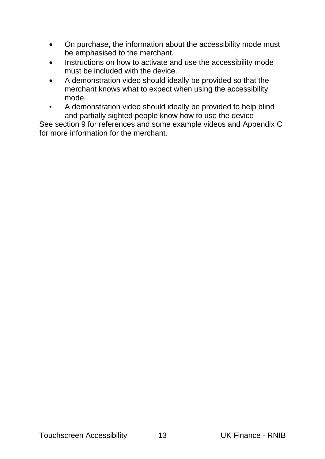- On purchase, the information about the accessibility mode must be emphasised to the merchant.
- Instructions on how to activate and use the accessibility mode must be included with the device.
- A demonstration video should ideally be provided so that the merchant knows what to expect when using the accessibility mode.
- A demonstration video should ideally be provided to help blind and partially sighted people know how to use the device

See section 9 for references and some example videos and Appendix C for more information for the merchant.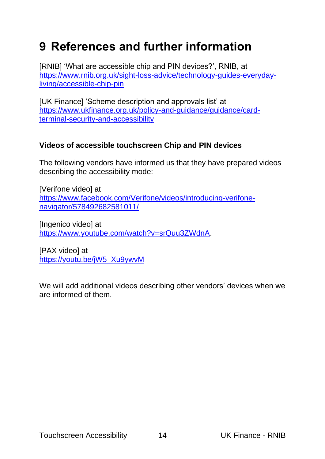## <span id="page-14-0"></span>**9 References and further information**

[RNIB] 'What are accessible chip and PIN devices?', RNIB, at [https://www.rnib.org.uk/sight-loss-advice/technology-guides-everyday](https://www.rnib.org.uk/sight-loss-advice/technology-guides-everyday-living/accessible-chip-pin)[living/accessible-chip-pin](https://www.rnib.org.uk/sight-loss-advice/technology-guides-everyday-living/accessible-chip-pin)

[UK Finance] 'Scheme description and approvals list' at [https://www.ukfinance.org.uk/policy-and-guidance/guidance/card](https://www.ukfinance.org.uk/policy-and-guidance/guidance/card-terminal-security-and-accessibility)[terminal-security-and-accessibility](https://www.ukfinance.org.uk/policy-and-guidance/guidance/card-terminal-security-and-accessibility)

#### **Videos of accessible touchscreen Chip and PIN devices**

The following vendors have informed us that they have prepared videos describing the accessibility mode:

[Verifone video] at [https://www.facebook.com/Verifone/videos/introducing-verifone](https://www.facebook.com/Verifone/videos/introducing-verifone-navigator/578492682581011/)[navigator/578492682581011/](https://www.facebook.com/Verifone/videos/introducing-verifone-navigator/578492682581011/)

[Ingenico video] at [https://www.youtube.com/watch?v=srQuu3ZWdnA.](https://www.youtube.com/watch?v=srQuu3ZWdnA)

[PAX video] at [https://youtu.be/jW5\\_Xu9ywvM](https://eur01.safelinks.protection.outlook.com/?url=https%3A%2F%2Fyoutu.be%2FjW5_Xu9ywvM&data=05%7C01%7Cbill.reding%40ukfinance.org.uk%7Cd42f378f4f5442de5bd808da37e8af9d%7C70e4dd2eaab74c6aa8823b6e7a39663e%7C1%7C0%7C637883769767957686%7CUnknown%7CTWFpbGZsb3d8eyJWIjoiMC4wLjAwMDAiLCJQIjoiV2luMzIiLCJBTiI6Ik1haWwiLCJXVCI6Mn0%3D%7C3000%7C%7C%7C&sdata=MZwxBohHpoEmqbjip6u%2F26v49%2Fn6hAsS6MU8QMFHZFM%3D&reserved=0)

We will add additional videos describing other vendors' devices when we are informed of them.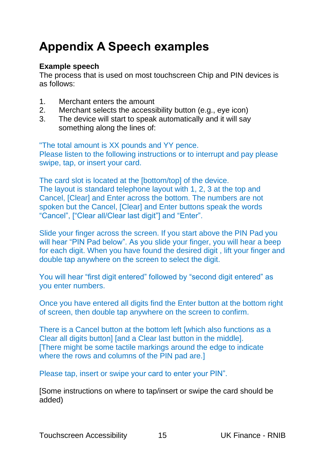# <span id="page-15-0"></span>**Appendix A Speech examples**

#### **Example speech**

The process that is used on most touchscreen Chip and PIN devices is as follows:

- 1. Merchant enters the amount
- 2. Merchant selects the accessibility button (e.g., eye icon)
- 3. The device will start to speak automatically and it will say something along the lines of:

"The total amount is XX pounds and YY pence.

Please listen to the following instructions or to interrupt and pay please swipe, tap, or insert your card.

The card slot is located at the [bottom/top] of the device. The layout is standard telephone layout with 1, 2, 3 at the top and Cancel, [Clear] and Enter across the bottom. The numbers are not spoken but the Cancel, [Clear] and Enter buttons speak the words "Cancel", ["Clear all/Clear last digit"] and "Enter".

Slide your finger across the screen. If you start above the PIN Pad you will hear "PIN Pad below". As you slide your finger, you will hear a beep for each digit. When you have found the desired digit , lift your finger and double tap anywhere on the screen to select the digit.

You will hear "first digit entered" followed by "second digit entered" as you enter numbers.

Once you have entered all digits find the Enter button at the bottom right of screen, then double tap anywhere on the screen to confirm.

There is a Cancel button at the bottom left [which also functions as a Clear all digits button] [and a Clear last button in the middle]. [There might be some tactile markings around the edge to indicate where the rows and columns of the PIN pad are.]

Please tap, insert or swipe your card to enter your PIN".

[Some instructions on where to tap/insert or swipe the card should be added)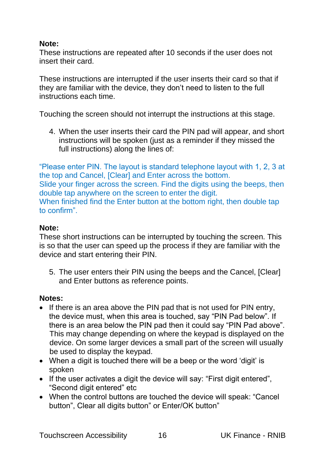#### **Note:**

These instructions are repeated after 10 seconds if the user does not insert their card.

These instructions are interrupted if the user inserts their card so that if they are familiar with the device, they don't need to listen to the full instructions each time.

Touching the screen should not interrupt the instructions at this stage.

4. When the user inserts their card the PIN pad will appear, and short instructions will be spoken (just as a reminder if they missed the full instructions) along the lines of:

"Please enter PIN. The layout is standard telephone layout with 1, 2, 3 at the top and Cancel, [Clear] and Enter across the bottom. Slide your finger across the screen. Find the digits using the beeps, then double tap anywhere on the screen to enter the digit. When finished find the Enter button at the bottom right, then double tap to confirm".

#### **Note:**

These short instructions can be interrupted by touching the screen. This is so that the user can speed up the process if they are familiar with the device and start entering their PIN.

5. The user enters their PIN using the beeps and the Cancel, [Clear] and Enter buttons as reference points.

#### **Notes:**

- If there is an area above the PIN pad that is not used for PIN entry, the device must, when this area is touched, say "PIN Pad below". If there is an area below the PIN pad then it could say "PIN Pad above". This may change depending on where the keypad is displayed on the device. On some larger devices a small part of the screen will usually be used to display the keypad.
- When a digit is touched there will be a beep or the word 'digit' is spoken
- If the user activates a digit the device will say: "First digit entered". "Second digit entered" etc
- When the control buttons are touched the device will speak: "Cancel button", Clear all digits button" or Enter/OK button"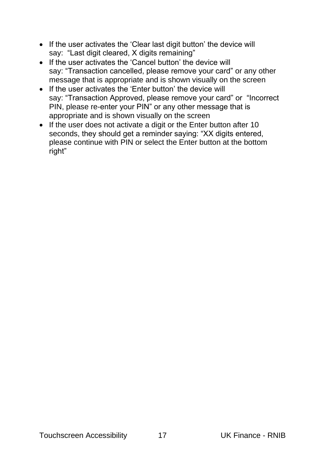- If the user activates the 'Clear last digit button' the device will say: "Last digit cleared, X digits remaining"
- If the user activates the 'Cancel button' the device will say: "Transaction cancelled, please remove your card" or any other message that is appropriate and is shown visually on the screen
- If the user activates the 'Enter button' the device will say: "Transaction Approved, please remove your card" or "Incorrect PIN, please re-enter your PIN" or any other message that is appropriate and is shown visually on the screen
- If the user does not activate a digit or the Enter button after 10 seconds, they should get a reminder saying: "XX digits entered, please continue with PIN or select the Enter button at the bottom right"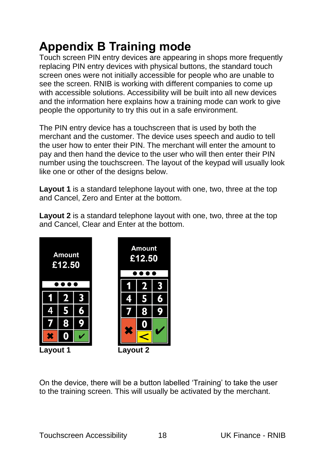# <span id="page-18-0"></span>**Appendix B Training mode**

Touch screen PIN entry devices are appearing in shops more frequently replacing PIN entry devices with physical buttons, the standard touch screen ones were not initially accessible for people who are unable to see the screen. RNIB is working with different companies to come up with accessible solutions. Accessibility will be built into all new devices and the information here explains how a training mode can work to give people the opportunity to try this out in a safe environment.

The PIN entry device has a touchscreen that is used by both the merchant and the customer. The device uses speech and audio to tell the user how to enter their PIN. The merchant will enter the amount to pay and then hand the device to the user who will then enter their PIN number using the touchscreen. The layout of the keypad will usually look like one or other of the designs below.

**Layout 1** is a standard telephone layout with one, two, three at the top and Cancel, Zero and Enter at the bottom.

**Layout 2** is a standard telephone layout with one, two, three at the top and Cancel, Clear and Enter at the bottom.



On the device, there will be a button labelled 'Training' to take the user to the training screen. This will usually be activated by the merchant.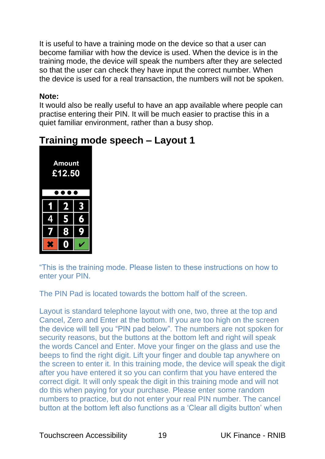It is useful to have a training mode on the device so that a user can become familiar with how the device is used. When the device is in the training mode, the device will speak the numbers after they are selected so that the user can check they have input the correct number. When the device is used for a real transaction, the numbers will not be spoken.

#### **Note:**

It would also be really useful to have an app available where people can practise entering their PIN. It will be much easier to practise this in a quiet familiar environment, rather than a busy shop.

| <b>Amount</b><br>£12.50 |                     |           |  |  |
|-------------------------|---------------------|-----------|--|--|
|                         | $\boldsymbol{\eta}$ | 3         |  |  |
| 4                       | 5                   | 6         |  |  |
| 7                       | 8                   | $\bullet$ |  |  |
|                         |                     |           |  |  |

#### <span id="page-19-0"></span>**Training mode speech – Layout 1**

"This is the training mode. Please listen to these instructions on how to enter your PIN.

The PIN Pad is located towards the bottom half of the screen.

Layout is standard telephone layout with one, two, three at the top and Cancel, Zero and Enter at the bottom. If you are too high on the screen the device will tell you "PIN pad below". The numbers are not spoken for security reasons, but the buttons at the bottom left and right will speak the words Cancel and Enter. Move your finger on the glass and use the beeps to find the right digit. Lift your finger and double tap anywhere on the screen to enter it. In this training mode, the device will speak the digit after you have entered it so you can confirm that you have entered the correct digit. It will only speak the digit in this training mode and will not do this when paying for your purchase. Please enter some random numbers to practice, but do not enter your real PIN number. The cancel button at the bottom left also functions as a 'Clear all digits button' when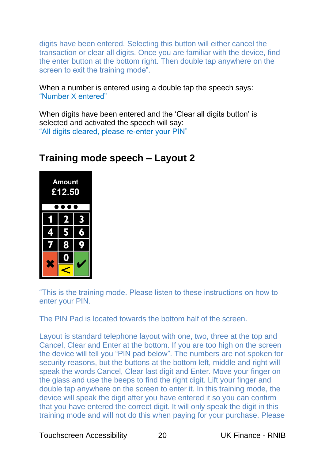digits have been entered. Selecting this button will either cancel the transaction or clear all digits. Once you are familiar with the device, find the enter button at the bottom right. Then double tap anywhere on the screen to exit the training mode".

When a number is entered using a double tap the speech says: "Number X entered"

When digits have been entered and the 'Clear all digits button' is selected and activated the speech will say: "All digits cleared, please re-enter your PIN"

| <b>Amount</b><br>£12.50 |                  |   |  |  |
|-------------------------|------------------|---|--|--|
|                         | $\boldsymbol{p}$ | 3 |  |  |
| z.                      | 5                | 3 |  |  |
| 7                       | 8                |   |  |  |
| X                       |                  |   |  |  |
|                         |                  |   |  |  |

#### <span id="page-20-0"></span>**Training mode speech – Layout 2**

"This is the training mode. Please listen to these instructions on how to enter your PIN.

The PIN Pad is located towards the bottom half of the screen.

Layout is standard telephone layout with one, two, three at the top and Cancel, Clear and Enter at the bottom. If you are too high on the screen the device will tell you "PIN pad below". The numbers are not spoken for security reasons, but the buttons at the bottom left, middle and right will speak the words Cancel, Clear last digit and Enter. Move your finger on the glass and use the beeps to find the right digit. Lift your finger and double tap anywhere on the screen to enter it. In this training mode, the device will speak the digit after you have entered it so you can confirm that you have entered the correct digit. It will only speak the digit in this training mode and will not do this when paying for your purchase. Please

Touchscreen Accessibility 20 UK Finance - RNIB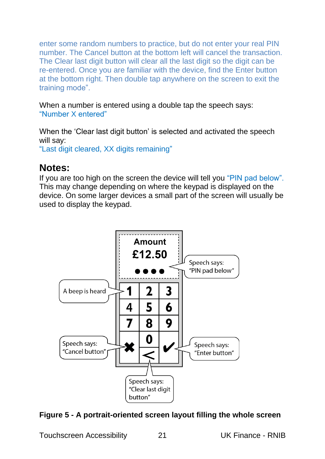enter some random numbers to practice, but do not enter your real PIN number. The Cancel button at the bottom left will cancel the transaction. The Clear last digit button will clear all the last digit so the digit can be re-entered. Once you are familiar with the device, find the Enter button at the bottom right. Then double tap anywhere on the screen to exit the training mode".

When a number is entered using a double tap the speech says: "Number X entered"

When the 'Clear last digit button' is selected and activated the speech will say:

"Last digit cleared, XX digits remaining"

#### <span id="page-21-0"></span>**Notes:**

If you are too high on the screen the device will tell you "PIN pad below". This may change depending on where the keypad is displayed on the device. On some larger devices a small part of the screen will usually be used to display the keypad.



#### **Figure 5 - A portrait-oriented screen layout filling the whole screen**

Touchscreen Accessibility 21 UK Finance - RNIB